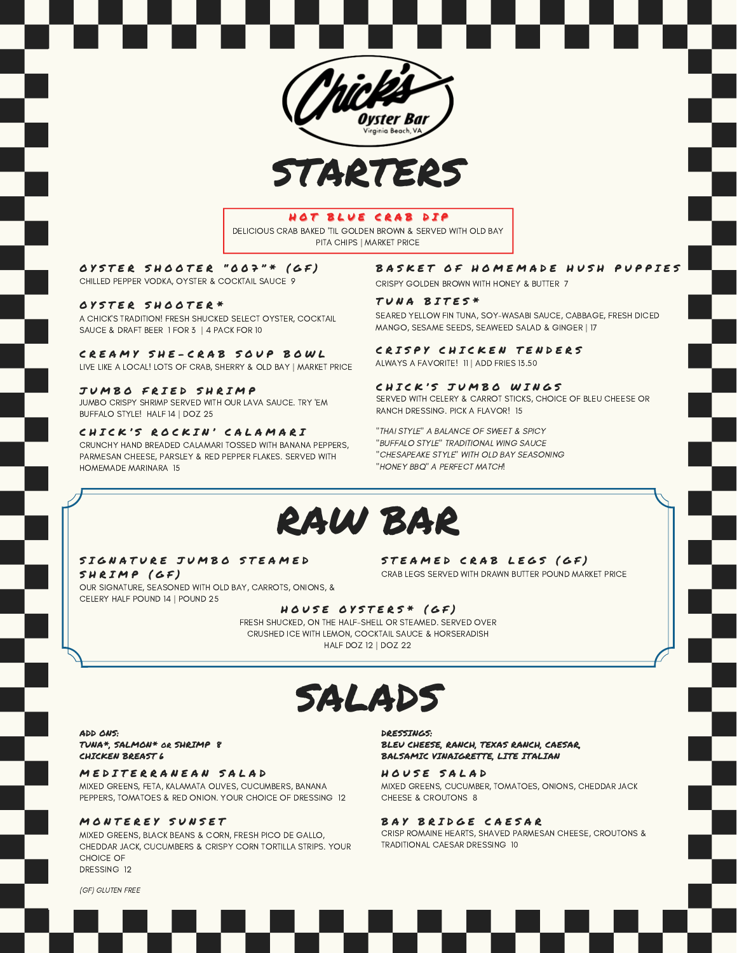



#### HOT BLUE CRAB DIP

DELICIOUS CRAB BAKED 'TIL GOLDEN BROWN & SERVED WITH OLD BAY PITA CHIPS | MARKET PRICE

OYSTER SHOOTER "OO7"\* (GF) CHILLED PEPPER VODKA, OYSTER & COCKTAIL SAUCE 9

OYSTER SHOOTER\* A CHICK'S TRADITION! FRESH SHUCKED SELECT OYSTER, COCKTAIL SAUCE & DRAFT BEER 1 FOR 3 | 4 PACK FOR 10

CREAMY SHE-CRAB SOUP BOWL LIVE LIKE A LOCAL! LOTS OF CRAB, SHERRY & OLD BAY | MARKET PRICE

JUMBO FRIED SHRIMP JUMBO CRISPY SHRIMP SERVED WITH OUR LAVA SAUCE. TRY 'EM BUFFALO STYLE! HALF 14 | DOZ 25

CHICK'S ROCKIN' CALAMARI CRUNCHY HAND BREADED CALAMARI TOSSED WITH BANANA PEPPERS, PARMESAN CHEESE, PARSLEY & RED PEPPER FLAKES. SERVED WITH HOMEMADE MARINARA 15

#### BASKET OF HOMEMADE HUSH PUPPIES

CRISPY GOLDEN BROWN WITH HONEY & BUTTER 7

#### TUNA BITES\*

SEARED YELLOW FIN TUNA, SOY-WASABI SAUCE, CABBAGE, FRESH DICED MANGO, SESAME SEEDS, SEAWEED SALAD & GINGER | 17

#### CRISPY CHICKEN TENDERS

ALWAYS A FAVORITE! 11 | ADD FRIES 13.50

#### CHICK'S JUMBO WINGS

SERVED WITH CELERY & CARROT STICKS, CHOICE OF BLEU CHEESE OR RANCH DRESSING. PICK A FLAVOR! 15

"THAI STYLE" A BALANCE OF SWEET & SPICY "BUFFALO STYLE" TRADITIONAL WING SAUCE "CHESAPEAKE STYLE" WITH OLD BAY SEASONING "HONEY BBQ" A PERFECT MATCH!

### RAW BAR

#### SIGNATURE JUMBO STEAMED SHRIMP (GF)

OUR SIGNATURE, SEASONED WITH OLD BAY, CARROTS, ONIONS, & CELERY HALF POUND 14 | POUND 25

STEAMED CRAB LEGS (GF)

CRAB LEGS SERVED WITH DRAWN BUTTER POUND MARKET PRICE

#### HOUSE OYSTERS\* (GF)

FRESH SHUCKED, ON THE HALF-SHELL OR STEAMED. SERVED OVER CRUSHED ICE WITH LEMON, COCKTAIL SAUCE & HORSERADISH HALF DOZ 12 | DOZ 22

### SALADS

ADD ONS:

TUNA\*, SALMON\* or SHRIMP 8 CHICKEN BREAST 6

#### MED ITERRANEAN SALAD

MIXED GREENS, FETA, KALAMATA OLIVES, CUCUMBERS, BANANA PEPPERS, TOMATOES & RED ONION. YOUR CHOICE OF DRESSING 12

#### MONTEREY SUNSET

MIXED GREENS, BLACK BEANS & CORN, FRESH PICO DE GALLO, CHEDDAR JACK, CUCUMBERS & CRISPY CORN TORTILLA STRIPS. YOUR CHOICE OF DRESSING 12

DRESSINGS:

BLEU CHEESE, RANCH, TEXAS RANCH, CAESAR, BALSAMIC VINAIGRETTE, LITE ITALIAN

#### HOUSE SALAD

MIXED GREENS, CUCUMBER, TOMATOES, ONIONS, CHEDDAR JACK CHEESE & CROUTONS 8

#### BAY BRIDGE CAESAR

CRISP ROMAINE HEARTS, SHAVED PARMESAN CHEESE, CROUTONS & TRADITIONAL CAESAR DRESSING 10

(GF) GLUTEN FREE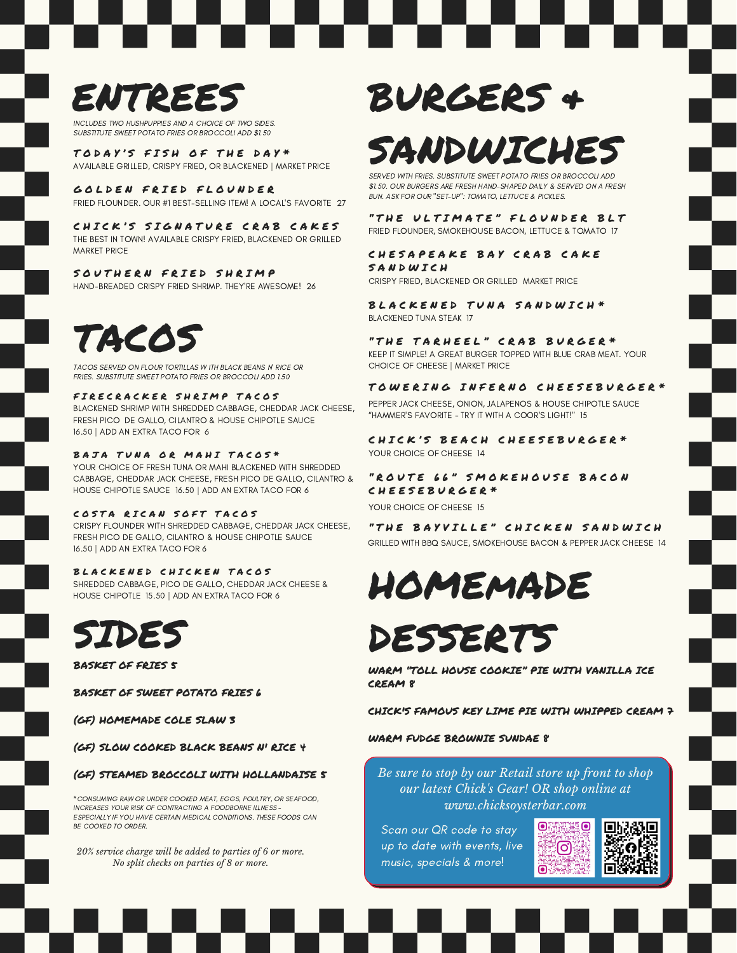## ENTREES

INCLUDES TWO HUSHPUPPIES AND A CHOICE OF TWO SIDES. SUBSTITUTE SWEET POTATO FRIES OR BROCCOLI ADD \$1.50

TODAY'S FISH OF THE DAY\* AVAILABLE GRILLED, CRISPY FRIED, OR BLACKENED | MARKET PRICE

GOLDEN FRIED FLOUNDER FRIED FLOUNDER. OUR #1 BEST-SELLING ITEM! A LOCAL'S FAVORITE 27

CHICK'S SIGNATURE CRAB CAKES THE BEST IN TOWN! AVAILABLE CRISPY FRIED, BLACKENED OR GRILLED MARKET PRICE

#### SOUTHERN FRIED SHRIMP

HAND-BREADED CRISPY FRIED SHRIMP. THEY'RE AWESOME! 26

## TACOS

TACOS SERVED ON FLOUR TORTILLAS W ITH BLACK BEANS N' RICE OR FRIES. SUBSTITUTE SWEET POTATO FRIES OR BROCCOLI ADD 1.50

#### FIRECRACKER SHRIMP TACOS

BLACKENED SHRIMP WITH SHREDDED CABBAGE, CHEDDAR JACK CHEESE, FRESH PICO DE GALLO, CILANTRO & HOUSE CHIPOTLE SAUCE 16.50 | ADD AN EXTRA TACO FOR 6

#### BAJA TUNA OR MAHI TACOS\*

YOUR CHOICE OF FRESH TUNA OR MAHI BLACKENED WITH SHREDDED CABBAGE, CHEDDAR JACK CHEESE, FRESH PICO DE GALLO, CILANTRO & HOUSE CHIPOTLE SAUCE 16.50 | ADD AN EXTRA TACO FOR 6

#### COSTA RICAN SOFT TACOS

CRISPY FLOUNDER WITH SHREDDED CABBAGE, CHEDDAR JACK CHEESE, FRESH PICO DE GALLO, CILANTRO & HOUSE CHIPOTLE SAUCE 16.50 | ADD AN EXTRA TACO FOR 6

#### BLACKENED CHICKEN TACOS

SHREDDED CABBAGE, PICO DE GALLO, CHEDDAR JACK CHEESE & HOUSE CHIPOTLE 15.50 | ADD AN EXTRA TACO FOR 6



BASKET OF FRIES 5

BASKET OF SWEET POTATO FRIES 6

(GF) HOMEMADE COLE SLAW 3

(GF) SLOW COOKED BLACK BEANS N' RICE 4

#### (GF) STEAMED BROCCOLI WITH HOLLANDAISE 5

\*CONSUMING RAW OR UNDER COOKED MEAT, EGGS, POULTRY, OR SEAFOOD, INCREASES YOUR RISK OF CONTRACTING A FOODBORNE ILLNESS - ESPECIALLY IF YOU HAVE CERTAIN MEDICAL CONDITIONS. THESE FOODS CAN BE COOKED TO ORDER.

*20% service charge will be added to parties of 6 or more. No split checks on parties of 8 or more.*

## BURGERS &

## SANDWICHES

SERVED WITH FRIES. SUBSTITUTE SWEET POTATO FRIES OR BROCCOLI ADD \$1.50. OUR BURGERS ARE FRESH HAND-SHAPED DAILY & SERVED ON A FRESH BUN. ASK FOR OUR "SET-UP": TOMATO, LETTUCE & PICKLES.

#### "THE ULTIMATE" FLOUNDER BLT

FRIED FLOUNDER, SMOKEHOUSE BACON, LETTUCE & TOMATO 17

#### CHESAPEAKE BAY CRAB CAKE SANDWICH

CRISPY FRIED, BLACKENED OR GRILLED MARKET PRICE

BLACKENED TUNA SANDWICH\* BLACKENED TUNA STEAK 17

"THE TARHEEL" CRAB BURGER\* KEEP IT SIMPLE! A GREAT BURGER TOPPED WITH BLUE CRAB MEAT. YOUR CHOICE OF CHEESE | MARKET PRICE

#### TOWERING INFERNO CHEESEBURGER\*

PEPPER JACK CHEESE, ONION, JALAPENOS & HOUSE CHIPOTLE SAUCE "HAMMER'S FAVORITE - TRY IT WITH A COOR'S LIGHT!" 15

CHICK'S BEACH CHEESEBURGER\* YOUR CHOICE OF CHEESE 14

#### "ROUTE 66" SMOKEHOUSE BACON C H E E S E B U R G E R \*

YOUR CHOICE OF CHEESE 15

"THE BAYVILLE" CHICKEN SANDWICH GRILLED WITH BBQ SAUCE, SMOKEHOUSE BACON & PEPPER JACK CHEESE 14

## HOMEmADE

## SIDES DESSERTS

WARM "TOLL HOUSE COOKIE" PIE WITH VANILLA ICE CREAM 8

CHICK'S FAMOUS KEY LIME PIE WITH WHIPPED CREAM 7

#### WARM FUDGE BROWNIE SUNDAE 8

*Be sure to stop by our Retail store up front to shop our latest Chick's Gear! OR shop online at www.chicksoysterbar.com*

Scan our QR code to stay up to date with events, live music, specials & more!



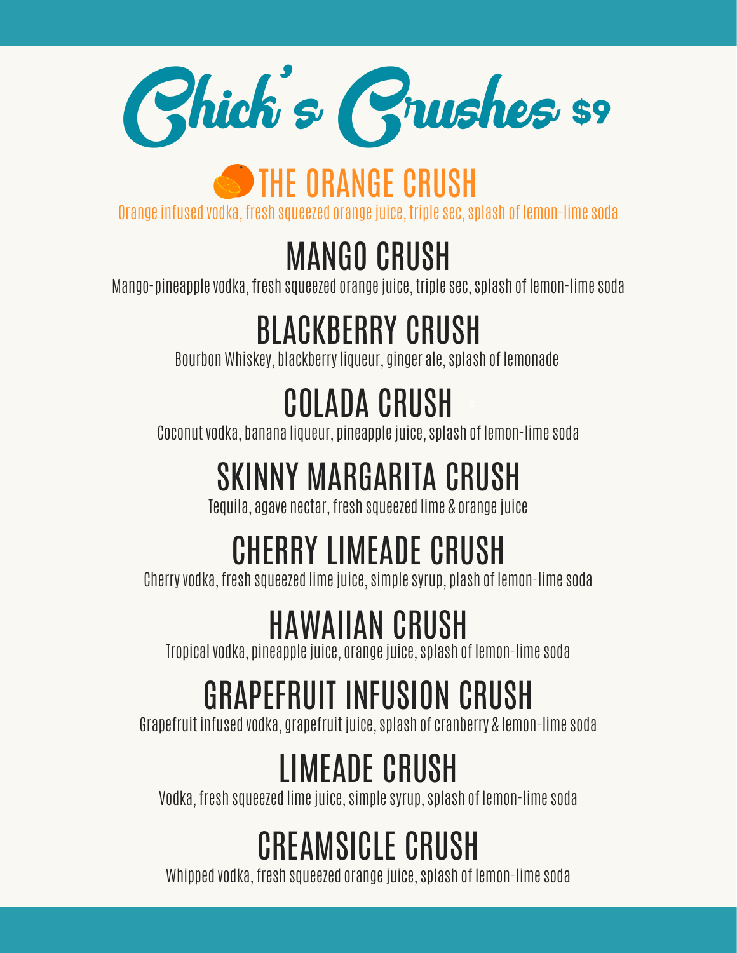

## **S** THE ORANGE CRUSH

Orangeinfused vodka, fresh squeezed orangejuice, triplesec,splash of lemon-limesoda

## MANGO CRUSH

Mango-pineapple vodka, fresh squeezed orange juice, triple sec, splash of lemon-lime soda

## BLACKBERRY CRUSH

Bourbon Whiskey, blackberry liqueur, ginger ale, splash of lemonade

## COLADA CRUSH

Coconut vodka, banana liqueur, pineapple juice, splash of lemon-lime soda

## SKINNY MARGARITA CRUSH

Tequila, agave nectar, fresh squeezed lime & orange juice

## CHERRY LIMEADE CRUSH

Cherryvodka, fresh squeezed limejuice,simplesyrup, plash of lemon-limesoda

## HAWAIIAN CRUSH

Tropical vodka, pineapple juice, orange juice, splash of lemon-lime soda

## GRAPEFRUIT INFUSION CRUSH

Grapefruit infused vodka, grapefruit juice, splash of cranberry & lemon-lime soda

## LIMEADE CRUSH

Vodka, fresh squeezed limejuice,simplesyrup,splash of lemon-limesoda

## CREAMSICLE CRUSH

Whipped vodka, fresh squeezed orange juice, splash of lemon-lime soda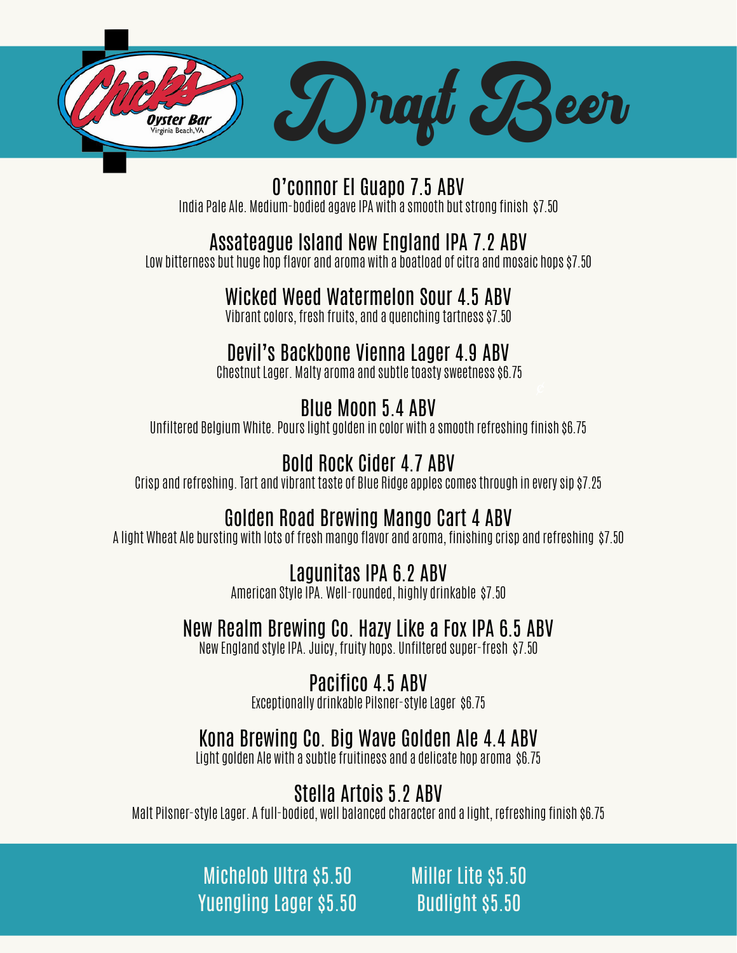

O'connor El Guapo 7.5 ABV India Pale Ale. Medium-bodied agave IPA with a smooth but strong finish \$7.50

#### Assateague Island New England IPA 7.2 ABV

Low bitterness but huge hop flavor and aroma with a boatload of citra and mosaic hops \$7.50

#### Wicked Weed Watermelon Sour 4.5 ABV

Vibrant colors, fresh fruits, and a quenching tartness \$7.50

#### Devil's Backbone Vienna Lager 4.9 ABV

Chestnut Lager. Malty aroma and subtletoastysweetness \$6.75

#### Blue Moon 5.4 ABV

Unfiltered BelgiumWhite. Pourslight golden in color with a smooth refreshing finish \$6.75

#### Bold Rock Cider 4.7 ABV

Crisp and refreshing. Tart and vibrant taste of Blue Ridge applescomesthrough in everysip \$7.25

#### Golden Road Brewing Mango Cart 4 ABV

A light Wheat Ale bursting with lots of freshmango flavor and aroma, finishing crisp and refreshing \$7.50

#### Lagunitas IPA 6.2 ABV

American Style IPA. Well-rounded, highly drinkable \$7.50

#### New Realm Brewing Co. Hazy Like a Fox IPA 6.5 ABV

New England style IPA. Juicy, fruity hops. Unfiltered super-fresh \$7.50

#### Pacifico 4.5 ABV

Exceptionally drinkable Pilsner-style Lager \$6.75

#### Kona Brewing Co. Big Wave Golden Ale 4.4 ABV

Light golden Ale with a subtle fruitiness and a delicate hop aroma \$6.75

#### Stella Artois 5.2 ABV

Malt Pilsner-styleLager. A full-bodied, well balanced character and a light, refreshing finish \$6.75

Michelob Ultra \$5.50 Yuengling Lager \$5.50

Miller Lite \$5.50 Budlight \$5.50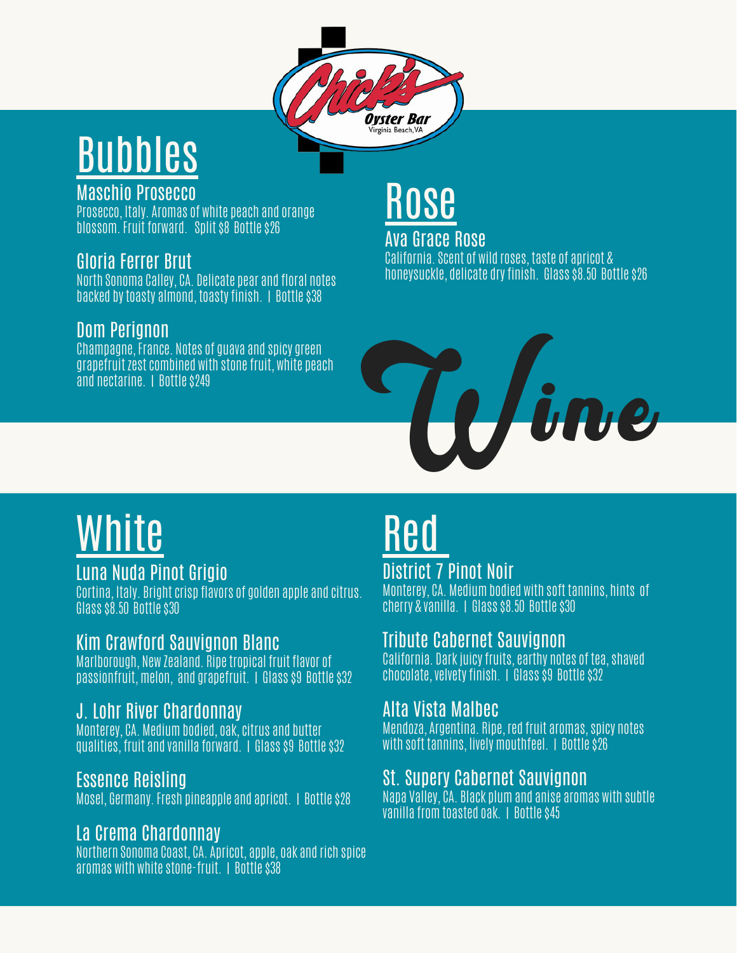## Bubbles

#### Maschio Prosecco

Prosecco, Italy. Aromas of white peach and orange blossom.Fruit forward. Split \$8 Bottle \$26

#### Gloria Ferrer Brut

North Sonoma Calley, CA. Delicate pear and floral notes backed bytoasty almond, toastyfinish. | Bottle \$38

#### Dom Perignon

Champagne,France. Notes of guava and spicy green grapefruit zest combined with stone fruit, white peach and nectarine. I Bottle \$249



**Oyster Bar** Virginia Beach, VA

> Ava Grace Rose California.Scent of wild roses, taste of apricot & honeysuckle, delicate dryfinish. Glass \$8.50 Bottle \$26



## White

#### Luna Nuda Pinot Grigio

Cortina, Italy. Bright crisp flavors of golden apple and citrus. Glass \$8.50 Bottle \$30

#### Kim Crawford Sauvignon Blanc

Marlborough, New Zealand. Ripetropical fruit flavor of passionfruit,melon, and grapefruit. | Glass \$9 Bottle \$32

#### J. Lohr River Chardonnay

Monterey, CA. Mediumbodied, oak,citrus and butter qualities, fruit and vanilla forward. | Glass \$9 Bottle \$32

#### Essence Reisling

Mosel, Germany.Fresh pineapple and apricot. | Bottle \$28

#### La Crema Chardonnay

Northern Sonoma Coast, CA. Apricot, apple, oak and rich spice aromas with whitestone-fruit. | Bottle \$38

## <u>Red</u>

#### District 7 Pinot Noir Monterey, CA. Mediumbodied with soft tannins, hints of cherry & vanilla. | Glass \$8.50 Bottle \$30

#### Tribute Cabernet Sauvignon

California. Dark juicy fruits, earthy notes of tea, shaved chocolate, velvety finish. | Glass \$9 Bottle \$32

#### Alta Vista Malbec

Mendoza, Argentina. Ripe, red fruit aromas, spicy notes with soft tannins, lively mouthfeel. | Bottle \$26

#### St. Supery Cabernet Sauvignon

Napa Valley, CA. Black plumand anise aromas with subtle vanilla fromtoasted oak. | Bottle \$45